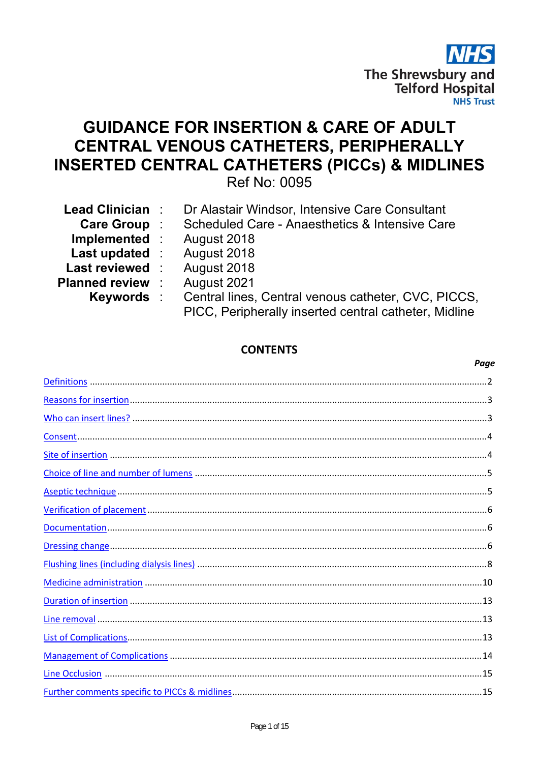

Paae

# **GUIDANCE FOR INSERTION & CARE OF ADULT CENTRAL VENOUS CATHETERS, PERIPHERALLY INSERTED CENTRAL CATHETERS (PICCs) & MIDLINES**

Ref No: 0095

| <b>Lead Clinician</b> : | Dr Alastair Windsor, Intensive Care Consultant                       |
|-------------------------|----------------------------------------------------------------------|
|                         |                                                                      |
| Care Group:             | Scheduled Care - Anaesthetics & Intensive Care                       |
| Implemented :           | August 2018                                                          |
| <b>Last updated :</b>   | August 2018                                                          |
| <b>Last reviewed :</b>  | August 2018                                                          |
| <b>Planned review :</b> | August 2021                                                          |
|                         | <b>Keywords</b> : Central lines, Central venous catheter, CVC, PICCS |
|                         | PICC, Peripherally inserted central catheter, Midline                |

## **CONTENTS**

##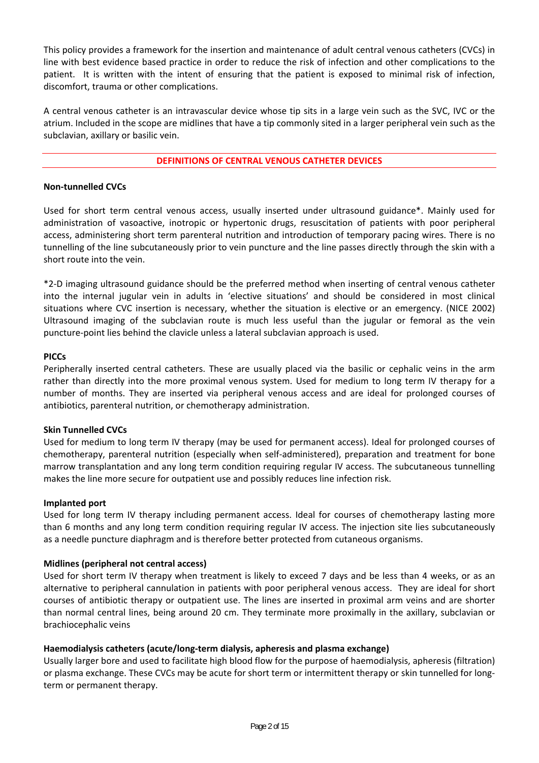This policy provides a framework for the insertion and maintenance of adult central venous catheters (CVCs) in line with best evidence based practice in order to reduce the risk of infection and other complications to the patient. It is written with the intent of ensuring that the patient is exposed to minimal risk of infection, discomfort, trauma or other complications.

A central venous catheter is an intravascular device whose tip sits in a large vein such as the SVC, IVC or the atrium. Included in the scope are midlines that have a tip commonly sited in a larger peripheral vein such as the subclavian, axillary or basilic vein.

## **DEFINITIONS OF CENTRAL VENOUS CATHETER DEVICES**

#### **Non‐tunnelled CVCs**

Used for short term central venous access, usually inserted under ultrasound guidance\*. Mainly used for administration of vasoactive, inotropic or hypertonic drugs, resuscitation of patients with poor peripheral access, administering short term parenteral nutrition and introduction of temporary pacing wires. There is no tunnelling of the line subcutaneously prior to vein puncture and the line passes directly through the skin with a short route into the vein.

\*2‐D imaging ultrasound guidance should be the preferred method when inserting of central venous catheter into the internal jugular vein in adults in 'elective situations' and should be considered in most clinical situations where CVC insertion is necessary, whether the situation is elective or an emergency. (NICE 2002) Ultrasound imaging of the subclavian route is much less useful than the jugular or femoral as the vein puncture‐point lies behind the clavicle unless a lateral subclavian approach is used.

#### **PICCs**

Peripherally inserted central catheters. These are usually placed via the basilic or cephalic veins in the arm rather than directly into the more proximal venous system. Used for medium to long term IV therapy for a number of months. They are inserted via peripheral venous access and are ideal for prolonged courses of antibiotics, parenteral nutrition, or chemotherapy administration.

#### **Skin Tunnelled CVCs**

Used for medium to long term IV therapy (may be used for permanent access). Ideal for prolonged courses of chemotherapy, parenteral nutrition (especially when self‐administered), preparation and treatment for bone marrow transplantation and any long term condition requiring regular IV access. The subcutaneous tunnelling makes the line more secure for outpatient use and possibly reduces line infection risk.

#### **Implanted port**

Used for long term IV therapy including permanent access. Ideal for courses of chemotherapy lasting more than 6 months and any long term condition requiring regular IV access. The injection site lies subcutaneously as a needle puncture diaphragm and is therefore better protected from cutaneous organisms.

#### **Midlines (peripheral not central access)**

Used for short term IV therapy when treatment is likely to exceed 7 days and be less than 4 weeks, or as an alternative to peripheral cannulation in patients with poor peripheral venous access. They are ideal for short courses of antibiotic therapy or outpatient use. The lines are inserted in proximal arm veins and are shorter than normal central lines, being around 20 cm. They terminate more proximally in the axillary, subclavian or brachiocephalic veins

#### **Haemodialysis catheters (acute/long‐term dialysis, apheresis and plasma exchange)**

Usually larger bore and used to facilitate high blood flow for the purpose of haemodialysis, apheresis (filtration) or plasma exchange. These CVCs may be acute for short term or intermittent therapy or skin tunnelled for long‐ term or permanent therapy.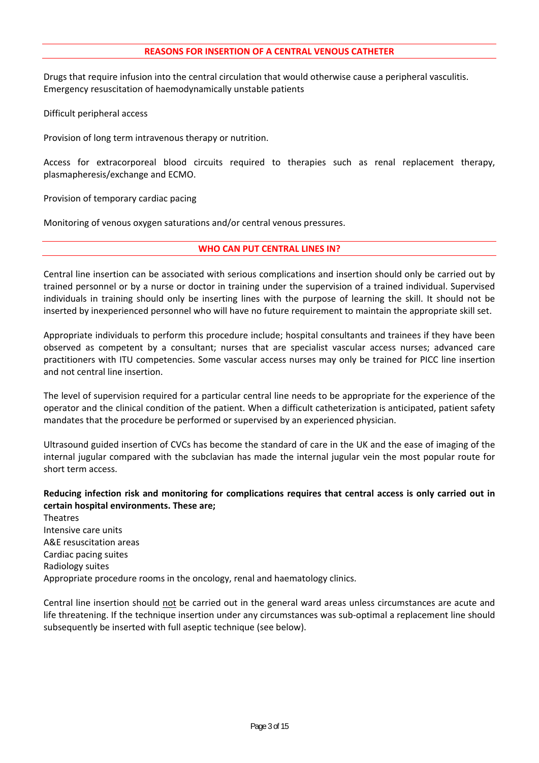Drugs that require infusion into the central circulation that would otherwise cause a peripheral vasculitis. Emergency resuscitation of haemodynamically unstable patients

Difficult peripheral access

Provision of long term intravenous therapy or nutrition.

Access for extracorporeal blood circuits required to therapies such as renal replacement therapy, plasmapheresis/exchange and ECMO.

Provision of temporary cardiac pacing

Monitoring of venous oxygen saturations and/or central venous pressures.

#### **WHO CAN PUT CENTRAL LINES IN?**

Central line insertion can be associated with serious complications and insertion should only be carried out by trained personnel or by a nurse or doctor in training under the supervision of a trained individual. Supervised individuals in training should only be inserting lines with the purpose of learning the skill. It should not be inserted by inexperienced personnel who will have no future requirement to maintain the appropriate skill set.

Appropriate individuals to perform this procedure include; hospital consultants and trainees if they have been observed as competent by a consultant; nurses that are specialist vascular access nurses; advanced care practitioners with ITU competencies. Some vascular access nurses may only be trained for PICC line insertion and not central line insertion.

The level of supervision required for a particular central line needs to be appropriate for the experience of the operator and the clinical condition of the patient. When a difficult catheterization is anticipated, patient safety mandates that the procedure be performed or supervised by an experienced physician.

Ultrasound guided insertion of CVCs has become the standard of care in the UK and the ease of imaging of the internal jugular compared with the subclavian has made the internal jugular vein the most popular route for short term access.

#### **Reducing infection risk and monitoring for complications requires that central access is only carried out in certain hospital environments. These are;**

Theatres Intensive care units A&E resuscitation areas Cardiac pacing suites Radiology suites Appropriate procedure rooms in the oncology, renal and haematology clinics.

Central line insertion should not be carried out in the general ward areas unless circumstances are acute and life threatening. If the technique insertion under any circumstances was sub-optimal a replacement line should subsequently be inserted with full aseptic technique (see below).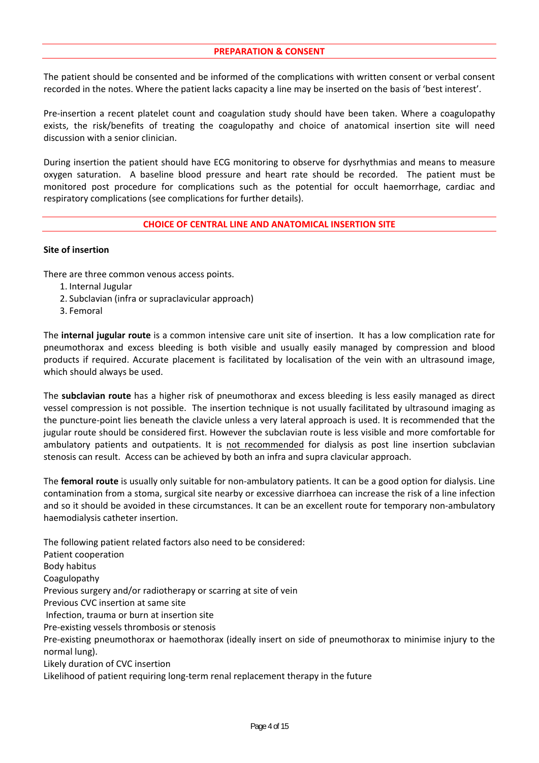#### **PREPARATION & CONSENT**

The patient should be consented and be informed of the complications with written consent or verbal consent recorded in the notes. Where the patient lacks capacity a line may be inserted on the basis of 'best interest'.

Pre-insertion a recent platelet count and coagulation study should have been taken. Where a coagulopathy exists, the risk/benefits of treating the coagulopathy and choice of anatomical insertion site will need discussion with a senior clinician.

During insertion the patient should have ECG monitoring to observe for dysrhythmias and means to measure oxygen saturation. A baseline blood pressure and heart rate should be recorded. The patient must be monitored post procedure for complications such as the potential for occult haemorrhage, cardiac and respiratory complications (see complications for further details).

#### **CHOICE OF CENTRAL LINE AND ANATOMICAL INSERTION SITE**

#### **Site of insertion**

There are three common venous access points.

- 1. Internal Jugular
- 2. Subclavian (infra or supraclavicular approach)
- 3. Femoral

The **internal jugular route** is a common intensive care unit site of insertion. It has a low complication rate for pneumothorax and excess bleeding is both visible and usually easily managed by compression and blood products if required. Accurate placement is facilitated by localisation of the vein with an ultrasound image, which should always be used.

The **subclavian route** has a higher risk of pneumothorax and excess bleeding is less easily managed as direct vessel compression is not possible. The insertion technique is not usually facilitated by ultrasound imaging as the puncture‐point lies beneath the clavicle unless a very lateral approach is used. It is recommended that the jugular route should be considered first. However the subclavian route is less visible and more comfortable for ambulatory patients and outpatients. It is not recommended for dialysis as post line insertion subclavian stenosis can result. Access can be achieved by both an infra and supra clavicular approach.

The **femoral route** is usually only suitable for non-ambulatory patients. It can be a good option for dialysis. Line contamination from a stoma, surgical site nearby or excessive diarrhoea can increase the risk of a line infection and so it should be avoided in these circumstances. It can be an excellent route for temporary non-ambulatory haemodialysis catheter insertion.

The following patient related factors also need to be considered: Patient cooperation Body habitus Coagulopathy Previous surgery and/or radiotherapy or scarring at site of vein Previous CVC insertion at same site Infection, trauma or burn at insertion site Pre‐existing vessels thrombosis or stenosis Pre-existing pneumothorax or haemothorax (ideally insert on side of pneumothorax to minimise injury to the normal lung). Likely duration of CVC insertion Likelihood of patient requiring long‐term renal replacement therapy in the future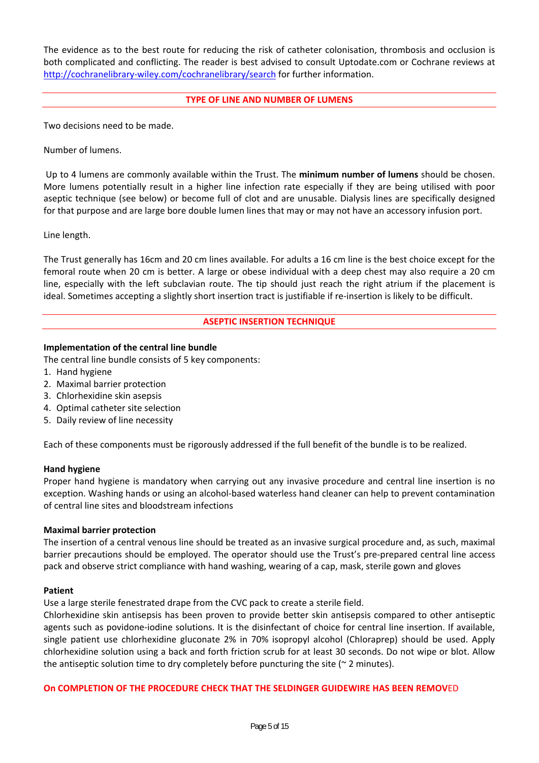The evidence as to the best route for reducing the risk of catheter colonisation, thrombosis and occlusion is both complicated and conflicting. The reader is best advised to consult Uptodate.com or Cochrane reviews at http://cochranelibrary-wiley.com/cochranelibrary/search for further information.

#### **TYPE OF LINE AND NUMBER OF LUMENS**

Two decisions need to be made.

Number of lumens.

 Up to 4 lumens are commonly available within the Trust. The **minimum number of lumens** should be chosen. More lumens potentially result in a higher line infection rate especially if they are being utilised with poor aseptic technique (see below) or become full of clot and are unusable. Dialysis lines are specifically designed for that purpose and are large bore double lumen lines that may or may not have an accessory infusion port.

#### Line length.

The Trust generally has 16cm and 20 cm lines available. For adults a 16 cm line is the best choice except for the femoral route when 20 cm is better. A large or obese individual with a deep chest may also require a 20 cm line, especially with the left subclavian route. The tip should just reach the right atrium if the placement is ideal. Sometimes accepting a slightly short insertion tract is justifiable if re-insertion is likely to be difficult.

#### **ASEPTIC INSERTION TECHNIQUE**

#### **Implementation of the central line bundle**

The central line bundle consists of 5 key components:

- 1. Hand hygiene
- 2. Maximal barrier protection
- 3. Chlorhexidine skin asepsis
- 4. Optimal catheter site selection
- 5. Daily review of line necessity

Each of these components must be rigorously addressed if the full benefit of the bundle is to be realized.

#### **Hand hygiene**

Proper hand hygiene is mandatory when carrying out any invasive procedure and central line insertion is no exception. Washing hands or using an alcohol‐based waterless hand cleaner can help to prevent contamination of central line sites and bloodstream infections

#### **Maximal barrier protection**

The insertion of a central venous line should be treated as an invasive surgical procedure and, as such, maximal barrier precautions should be employed. The operator should use the Trust's pre‐prepared central line access pack and observe strict compliance with hand washing, wearing of a cap, mask, sterile gown and gloves

#### **Patient**

Use a large sterile fenestrated drape from the CVC pack to create a sterile field.

Chlorhexidine skin antisepsis has been proven to provide better skin antisepsis compared to other antiseptic agents such as povidone‐iodine solutions. It is the disinfectant of choice for central line insertion. If available, single patient use chlorhexidine gluconate 2% in 70% isopropyl alcohol (Chloraprep) should be used. Apply chlorhexidine solution using a back and forth friction scrub for at least 30 seconds. Do not wipe or blot. Allow the antiseptic solution time to dry completely before puncturing the site ( $\sim$  2 minutes).

#### **On COMPLETION OF THE PROCEDURE CHECK THAT THE SELDINGER GUIDEWIRE HAS BEEN REMOV**ED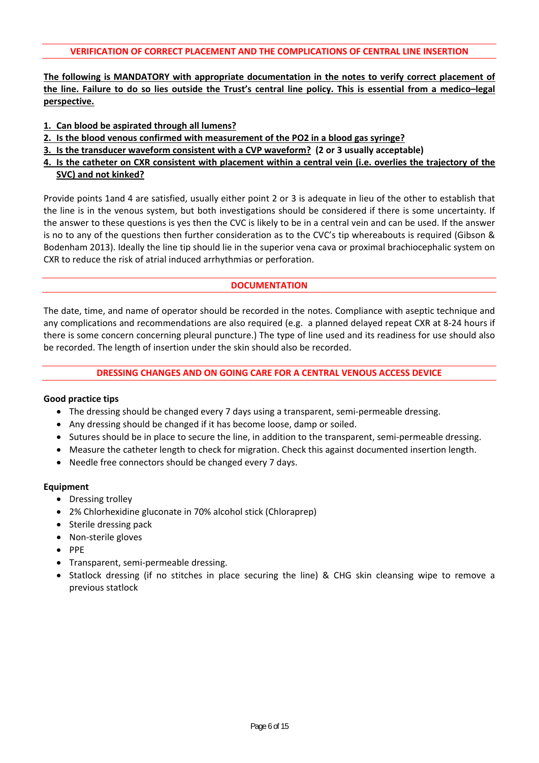**The following is MANDATORY with appropriate documentation in the notes to verify correct placement of the line. Failure to do so lies outside the Trust's central line policy. This is essential from a medico–legal perspective.** 

- **1. Can blood be aspirated through all lumens?**
- **2. Is the blood venous confirmed with measurement of the PO2 in a blood gas syringe?**
- **3. Is the transducer waveform consistent with a CVP waveform? (2 or 3 usually acceptable)**
- **4. Is the catheter on CXR consistent with placement within a central vein (i.e. overlies the trajectory of the SVC) and not kinked?**

Provide points 1and 4 are satisfied, usually either point 2 or 3 is adequate in lieu of the other to establish that the line is in the venous system, but both investigations should be considered if there is some uncertainty. If the answer to these questions is yes then the CVC is likely to be in a central vein and can be used. If the answer is no to any of the questions then further consideration as to the CVC's tip whereabouts is required (Gibson & Bodenham 2013). Ideally the line tip should lie in the superior vena cava or proximal brachiocephalic system on CXR to reduce the risk of atrial induced arrhythmias or perforation.

## **DOCUMENTATION**

The date, time, and name of operator should be recorded in the notes. Compliance with aseptic technique and any complications and recommendations are also required (e.g. a planned delayed repeat CXR at 8‐24 hours if there is some concern concerning pleural puncture.) The type of line used and its readiness for use should also be recorded. The length of insertion under the skin should also be recorded.

#### **DRESSING CHANGES AND ON GOING CARE FOR A CENTRAL VENOUS ACCESS DEVICE**

#### **Good practice tips**

- The dressing should be changed every 7 days using a transparent, semi-permeable dressing.
- Any dressing should be changed if it has become loose, damp or soiled.
- Sutures should be in place to secure the line, in addition to the transparent, semi-permeable dressing.
- Measure the catheter length to check for migration. Check this against documented insertion length.
- Needle free connectors should be changed every 7 days.

- Dressing trolley
- 2% Chlorhexidine gluconate in 70% alcohol stick (Chloraprep)
- Sterile dressing pack
- Non-sterile gloves
- $\bullet$  PPE
- Transparent, semi-permeable dressing.
- Statlock dressing (if no stitches in place securing the line) & CHG skin cleansing wipe to remove a previous statlock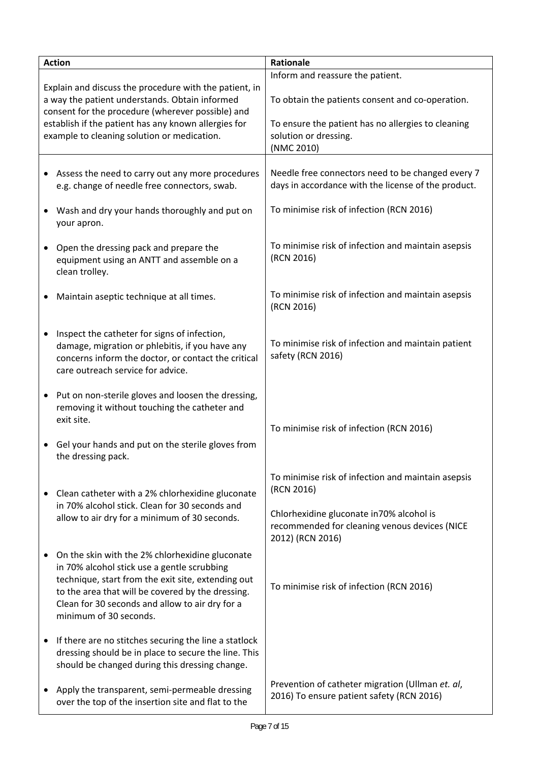| <b>Action</b>                                                                                                                                                 |                                                                                                                                                                                                                                                                                        | <b>Rationale</b>                                                                                               |  |
|---------------------------------------------------------------------------------------------------------------------------------------------------------------|----------------------------------------------------------------------------------------------------------------------------------------------------------------------------------------------------------------------------------------------------------------------------------------|----------------------------------------------------------------------------------------------------------------|--|
|                                                                                                                                                               |                                                                                                                                                                                                                                                                                        | Inform and reassure the patient.                                                                               |  |
| Explain and discuss the procedure with the patient, in<br>a way the patient understands. Obtain informed<br>consent for the procedure (wherever possible) and |                                                                                                                                                                                                                                                                                        | To obtain the patients consent and co-operation.                                                               |  |
| establish if the patient has any known allergies for<br>example to cleaning solution or medication.                                                           |                                                                                                                                                                                                                                                                                        | To ensure the patient has no allergies to cleaning<br>solution or dressing.<br>(NMC 2010)                      |  |
|                                                                                                                                                               |                                                                                                                                                                                                                                                                                        |                                                                                                                |  |
| $\bullet$                                                                                                                                                     | Assess the need to carry out any more procedures<br>e.g. change of needle free connectors, swab.                                                                                                                                                                                       | Needle free connectors need to be changed every 7<br>days in accordance with the license of the product.       |  |
| $\bullet$                                                                                                                                                     | Wash and dry your hands thoroughly and put on<br>your apron.                                                                                                                                                                                                                           | To minimise risk of infection (RCN 2016)                                                                       |  |
| $\bullet$                                                                                                                                                     | Open the dressing pack and prepare the<br>equipment using an ANTT and assemble on a<br>clean trolley.                                                                                                                                                                                  | To minimise risk of infection and maintain asepsis<br>(RCN 2016)                                               |  |
|                                                                                                                                                               | Maintain aseptic technique at all times.                                                                                                                                                                                                                                               | To minimise risk of infection and maintain asepsis<br>(RCN 2016)                                               |  |
| $\bullet$                                                                                                                                                     | Inspect the catheter for signs of infection,<br>damage, migration or phlebitis, if you have any<br>concerns inform the doctor, or contact the critical<br>care outreach service for advice.                                                                                            | To minimise risk of infection and maintain patient<br>safety (RCN 2016)                                        |  |
| $\bullet$                                                                                                                                                     | Put on non-sterile gloves and loosen the dressing,<br>removing it without touching the catheter and<br>exit site.                                                                                                                                                                      | To minimise risk of infection (RCN 2016)                                                                       |  |
|                                                                                                                                                               | Gel your hands and put on the sterile gloves from<br>the dressing pack.                                                                                                                                                                                                                |                                                                                                                |  |
|                                                                                                                                                               | Clean catheter with a 2% chlorhexidine gluconate                                                                                                                                                                                                                                       | To minimise risk of infection and maintain asepsis<br>(RCN 2016)                                               |  |
|                                                                                                                                                               | in 70% alcohol stick. Clean for 30 seconds and<br>allow to air dry for a minimum of 30 seconds.                                                                                                                                                                                        | Chlorhexidine gluconate in 70% alcohol is<br>recommended for cleaning venous devices (NICE<br>2012) (RCN 2016) |  |
|                                                                                                                                                               | On the skin with the 2% chlorhexidine gluconate<br>in 70% alcohol stick use a gentle scrubbing<br>technique, start from the exit site, extending out<br>to the area that will be covered by the dressing.<br>Clean for 30 seconds and allow to air dry for a<br>minimum of 30 seconds. | To minimise risk of infection (RCN 2016)                                                                       |  |
|                                                                                                                                                               | If there are no stitches securing the line a statlock<br>dressing should be in place to secure the line. This<br>should be changed during this dressing change.                                                                                                                        |                                                                                                                |  |
|                                                                                                                                                               | Apply the transparent, semi-permeable dressing<br>over the top of the insertion site and flat to the                                                                                                                                                                                   | Prevention of catheter migration (Ullman et. al,<br>2016) To ensure patient safety (RCN 2016)                  |  |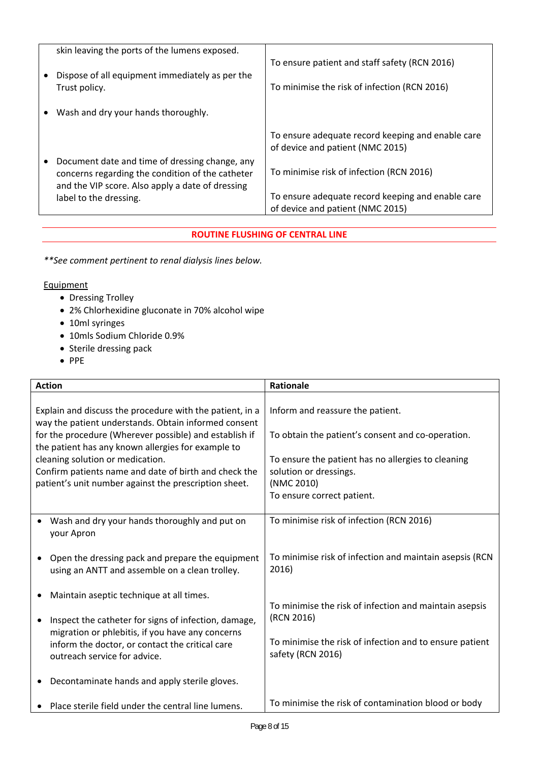|           | skin leaving the ports of the lumens exposed.    |                                                   |
|-----------|--------------------------------------------------|---------------------------------------------------|
|           |                                                  | To ensure patient and staff safety (RCN 2016)     |
|           | Dispose of all equipment immediately as per the  |                                                   |
|           | Trust policy.                                    | To minimise the risk of infection (RCN 2016)      |
|           |                                                  |                                                   |
| $\bullet$ | Wash and dry your hands thoroughly.              |                                                   |
|           |                                                  | To ensure adequate record keeping and enable care |
|           |                                                  | of device and patient (NMC 2015)                  |
|           | Document date and time of dressing change, any   |                                                   |
|           | concerns regarding the condition of the catheter | To minimise risk of infection (RCN 2016)          |
|           | and the VIP score. Also apply a date of dressing |                                                   |
|           | label to the dressing.                           | To ensure adequate record keeping and enable care |
|           |                                                  | of device and patient (NMC 2015)                  |

## **ROUTINE FLUSHING OF CENTRAL LINE**

*\*\*See comment pertinent to renal dialysis lines below.* 

- Dressing Trolley
- 2% Chlorhexidine gluconate in 70% alcohol wipe
- 10ml syringes
- 10mls Sodium Chloride 0.9%
- Sterile dressing pack
- $\bullet$  PPE

| <b>Action</b>                                                                                                                                                                                                                                                                                                                                                                          |                                                                                                                                                                                             | Rationale                                                                                                                                                                                                         |  |
|----------------------------------------------------------------------------------------------------------------------------------------------------------------------------------------------------------------------------------------------------------------------------------------------------------------------------------------------------------------------------------------|---------------------------------------------------------------------------------------------------------------------------------------------------------------------------------------------|-------------------------------------------------------------------------------------------------------------------------------------------------------------------------------------------------------------------|--|
| Explain and discuss the procedure with the patient, in a<br>way the patient understands. Obtain informed consent<br>for the procedure (Wherever possible) and establish if<br>the patient has any known allergies for example to<br>cleaning solution or medication.<br>Confirm patients name and date of birth and check the<br>patient's unit number against the prescription sheet. |                                                                                                                                                                                             | Inform and reassure the patient.<br>To obtain the patient's consent and co-operation.<br>To ensure the patient has no allergies to cleaning<br>solution or dressings.<br>(NMC 2010)<br>To ensure correct patient. |  |
| your Apron                                                                                                                                                                                                                                                                                                                                                                             | Wash and dry your hands thoroughly and put on                                                                                                                                               | To minimise risk of infection (RCN 2016)                                                                                                                                                                          |  |
|                                                                                                                                                                                                                                                                                                                                                                                        | Open the dressing pack and prepare the equipment<br>using an ANTT and assemble on a clean trolley.                                                                                          | To minimise risk of infection and maintain asepsis (RCN<br>2016)                                                                                                                                                  |  |
|                                                                                                                                                                                                                                                                                                                                                                                        | Maintain aseptic technique at all times.                                                                                                                                                    | To minimise the risk of infection and maintain asepsis                                                                                                                                                            |  |
|                                                                                                                                                                                                                                                                                                                                                                                        | Inspect the catheter for signs of infection, damage,<br>migration or phlebitis, if you have any concerns<br>inform the doctor, or contact the critical care<br>outreach service for advice. | (RCN 2016)<br>To minimise the risk of infection and to ensure patient<br>safety (RCN 2016)                                                                                                                        |  |
|                                                                                                                                                                                                                                                                                                                                                                                        | Decontaminate hands and apply sterile gloves.                                                                                                                                               |                                                                                                                                                                                                                   |  |
|                                                                                                                                                                                                                                                                                                                                                                                        | Place sterile field under the central line lumens.                                                                                                                                          | To minimise the risk of contamination blood or body                                                                                                                                                               |  |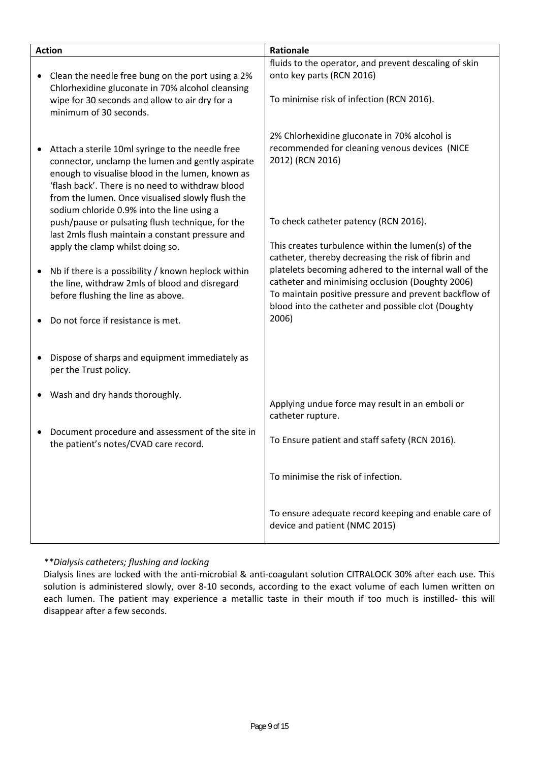| <b>Action</b> |                                                                                                                                                                                                                                                                                                                | Rationale                                                                                                                                                           |  |
|---------------|----------------------------------------------------------------------------------------------------------------------------------------------------------------------------------------------------------------------------------------------------------------------------------------------------------------|---------------------------------------------------------------------------------------------------------------------------------------------------------------------|--|
|               | Clean the needle free bung on the port using a 2%<br>Chlorhexidine gluconate in 70% alcohol cleansing                                                                                                                                                                                                          | fluids to the operator, and prevent descaling of skin<br>onto key parts (RCN 2016)                                                                                  |  |
|               | wipe for 30 seconds and allow to air dry for a<br>minimum of 30 seconds.                                                                                                                                                                                                                                       | To minimise risk of infection (RCN 2016).                                                                                                                           |  |
|               | Attach a sterile 10ml syringe to the needle free<br>connector, unclamp the lumen and gently aspirate<br>enough to visualise blood in the lumen, known as<br>'flash back'. There is no need to withdraw blood<br>from the lumen. Once visualised slowly flush the<br>sodium chloride 0.9% into the line using a | 2% Chlorhexidine gluconate in 70% alcohol is<br>recommended for cleaning venous devices (NICE<br>2012) (RCN 2016)                                                   |  |
|               | push/pause or pulsating flush technique, for the<br>last 2mls flush maintain a constant pressure and                                                                                                                                                                                                           | To check catheter patency (RCN 2016).                                                                                                                               |  |
|               | apply the clamp whilst doing so.                                                                                                                                                                                                                                                                               | This creates turbulence within the lumen(s) of the<br>catheter, thereby decreasing the risk of fibrin and<br>platelets becoming adhered to the internal wall of the |  |
|               | Nb if there is a possibility / known heplock within<br>the line, withdraw 2mls of blood and disregard<br>before flushing the line as above.                                                                                                                                                                    | catheter and minimising occlusion (Doughty 2006)<br>To maintain positive pressure and prevent backflow of<br>blood into the catheter and possible clot (Doughty     |  |
|               | Do not force if resistance is met.                                                                                                                                                                                                                                                                             | 2006)                                                                                                                                                               |  |
|               | Dispose of sharps and equipment immediately as<br>per the Trust policy.                                                                                                                                                                                                                                        |                                                                                                                                                                     |  |
|               | Wash and dry hands thoroughly.                                                                                                                                                                                                                                                                                 | Applying undue force may result in an emboli or<br>catheter rupture.                                                                                                |  |
|               | Document procedure and assessment of the site in<br>the patient's notes/CVAD care record.                                                                                                                                                                                                                      | To Ensure patient and staff safety (RCN 2016).                                                                                                                      |  |
|               |                                                                                                                                                                                                                                                                                                                | To minimise the risk of infection.                                                                                                                                  |  |
|               |                                                                                                                                                                                                                                                                                                                | To ensure adequate record keeping and enable care of<br>device and patient (NMC 2015)                                                                               |  |

## *\*\*Dialysis catheters; flushing and locking*

Dialysis lines are locked with the anti‐microbial & anti‐coagulant solution CITRALOCK 30% after each use. This solution is administered slowly, over 8-10 seconds, according to the exact volume of each lumen written on each lumen. The patient may experience a metallic taste in their mouth if too much is instilled- this will disappear after a few seconds.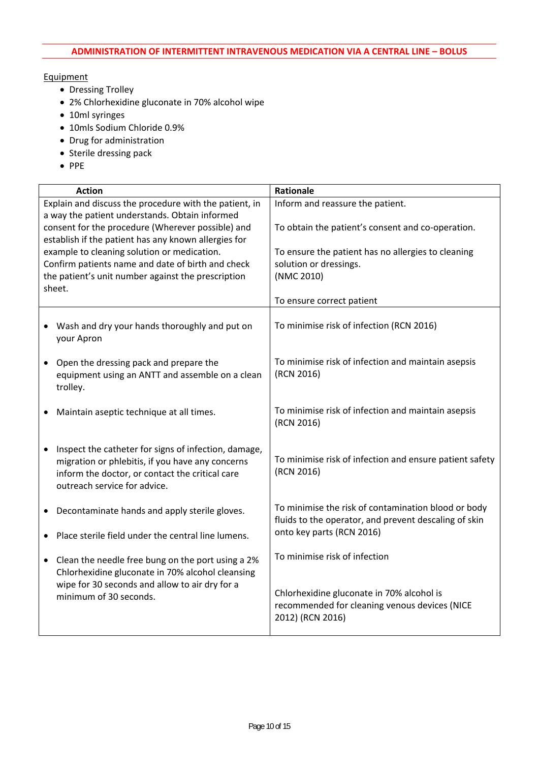- Dressing Trolley
- 2% Chlorhexidine gluconate in 70% alcohol wipe
- 10ml syringes
- 10mls Sodium Chloride 0.9%
- Drug for administration
- Sterile dressing pack
- $\bullet$  PPE

| <b>Action</b>                                                                                                                                                                               | Rationale                                                                                                                                 |  |
|---------------------------------------------------------------------------------------------------------------------------------------------------------------------------------------------|-------------------------------------------------------------------------------------------------------------------------------------------|--|
| Explain and discuss the procedure with the patient, in                                                                                                                                      | Inform and reassure the patient.                                                                                                          |  |
| a way the patient understands. Obtain informed<br>consent for the procedure (Wherever possible) and                                                                                         | To obtain the patient's consent and co-operation.                                                                                         |  |
| establish if the patient has any known allergies for                                                                                                                                        |                                                                                                                                           |  |
| example to cleaning solution or medication.                                                                                                                                                 | To ensure the patient has no allergies to cleaning                                                                                        |  |
| Confirm patients name and date of birth and check<br>the patient's unit number against the prescription                                                                                     | solution or dressings.<br>(NMC 2010)                                                                                                      |  |
| sheet.                                                                                                                                                                                      |                                                                                                                                           |  |
|                                                                                                                                                                                             | To ensure correct patient                                                                                                                 |  |
| Wash and dry your hands thoroughly and put on<br>your Apron                                                                                                                                 | To minimise risk of infection (RCN 2016)                                                                                                  |  |
| Open the dressing pack and prepare the<br>equipment using an ANTT and assemble on a clean<br>trolley.                                                                                       | To minimise risk of infection and maintain asepsis<br>(RCN 2016)                                                                          |  |
| Maintain aseptic technique at all times.                                                                                                                                                    | To minimise risk of infection and maintain asepsis<br>(RCN 2016)                                                                          |  |
| Inspect the catheter for signs of infection, damage,<br>migration or phlebitis, if you have any concerns<br>inform the doctor, or contact the critical care<br>outreach service for advice. | To minimise risk of infection and ensure patient safety<br>(RCN 2016)                                                                     |  |
| Decontaminate hands and apply sterile gloves.<br>٠                                                                                                                                          | To minimise the risk of contamination blood or body<br>fluids to the operator, and prevent descaling of skin<br>onto key parts (RCN 2016) |  |
| Place sterile field under the central line lumens.                                                                                                                                          |                                                                                                                                           |  |
| • Clean the needle free bung on the port using a 2%<br>Chlorhexidine gluconate in 70% alcohol cleansing                                                                                     | To minimise risk of infection                                                                                                             |  |
| wipe for 30 seconds and allow to air dry for a<br>minimum of 30 seconds.                                                                                                                    | Chlorhexidine gluconate in 70% alcohol is<br>recommended for cleaning venous devices (NICE<br>2012) (RCN 2016)                            |  |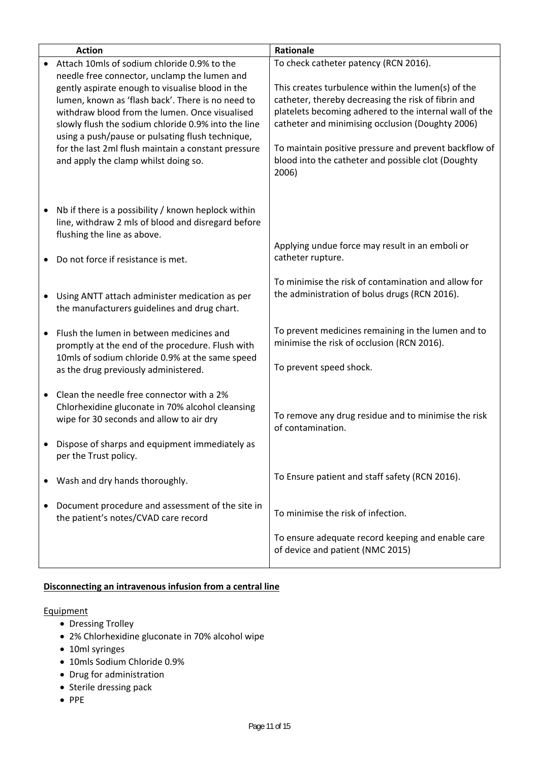| <b>Action</b> |                                                                                                                                                                                                                                                                                                                                                                                                                   | Rationale                                                                                                                                                                                                                                                                                                                                       |  |
|---------------|-------------------------------------------------------------------------------------------------------------------------------------------------------------------------------------------------------------------------------------------------------------------------------------------------------------------------------------------------------------------------------------------------------------------|-------------------------------------------------------------------------------------------------------------------------------------------------------------------------------------------------------------------------------------------------------------------------------------------------------------------------------------------------|--|
|               | Attach 10mls of sodium chloride 0.9% to the                                                                                                                                                                                                                                                                                                                                                                       | To check catheter patency (RCN 2016).                                                                                                                                                                                                                                                                                                           |  |
|               | needle free connector, unclamp the lumen and<br>gently aspirate enough to visualise blood in the<br>lumen, known as 'flash back'. There is no need to<br>withdraw blood from the lumen. Once visualised<br>slowly flush the sodium chloride 0.9% into the line<br>using a push/pause or pulsating flush technique,<br>for the last 2ml flush maintain a constant pressure<br>and apply the clamp whilst doing so. | This creates turbulence within the lumen(s) of the<br>catheter, thereby decreasing the risk of fibrin and<br>platelets becoming adhered to the internal wall of the<br>catheter and minimising occlusion (Doughty 2006)<br>To maintain positive pressure and prevent backflow of<br>blood into the catheter and possible clot (Doughty<br>2006) |  |
|               | Nb if there is a possibility / known heplock within<br>line, withdraw 2 mls of blood and disregard before<br>flushing the line as above.<br>Do not force if resistance is met.                                                                                                                                                                                                                                    | Applying undue force may result in an emboli or<br>catheter rupture.                                                                                                                                                                                                                                                                            |  |
|               | Using ANTT attach administer medication as per<br>the manufacturers guidelines and drug chart.                                                                                                                                                                                                                                                                                                                    | To minimise the risk of contamination and allow for<br>the administration of bolus drugs (RCN 2016).                                                                                                                                                                                                                                            |  |
|               | Flush the lumen in between medicines and<br>promptly at the end of the procedure. Flush with<br>10mls of sodium chloride 0.9% at the same speed<br>as the drug previously administered.                                                                                                                                                                                                                           | To prevent medicines remaining in the lumen and to<br>minimise the risk of occlusion (RCN 2016).<br>To prevent speed shock.                                                                                                                                                                                                                     |  |
|               | Clean the needle free connector with a 2%<br>Chlorhexidine gluconate in 70% alcohol cleansing<br>wipe for 30 seconds and allow to air dry                                                                                                                                                                                                                                                                         | To remove any drug residue and to minimise the risk<br>of contamination.                                                                                                                                                                                                                                                                        |  |
|               | Dispose of sharps and equipment immediately as<br>per the Trust policy.                                                                                                                                                                                                                                                                                                                                           |                                                                                                                                                                                                                                                                                                                                                 |  |
|               | Wash and dry hands thoroughly.                                                                                                                                                                                                                                                                                                                                                                                    | To Ensure patient and staff safety (RCN 2016).                                                                                                                                                                                                                                                                                                  |  |
|               | Document procedure and assessment of the site in<br>the patient's notes/CVAD care record                                                                                                                                                                                                                                                                                                                          | To minimise the risk of infection.                                                                                                                                                                                                                                                                                                              |  |
|               |                                                                                                                                                                                                                                                                                                                                                                                                                   | To ensure adequate record keeping and enable care<br>of device and patient (NMC 2015)                                                                                                                                                                                                                                                           |  |

## **Disconnecting an intravenous infusion from a central line**

- Dressing Trolley
- 2% Chlorhexidine gluconate in 70% alcohol wipe
- 10ml syringes
- 10mls Sodium Chloride 0.9%
- Drug for administration
- Sterile dressing pack
- $\bullet$  PPE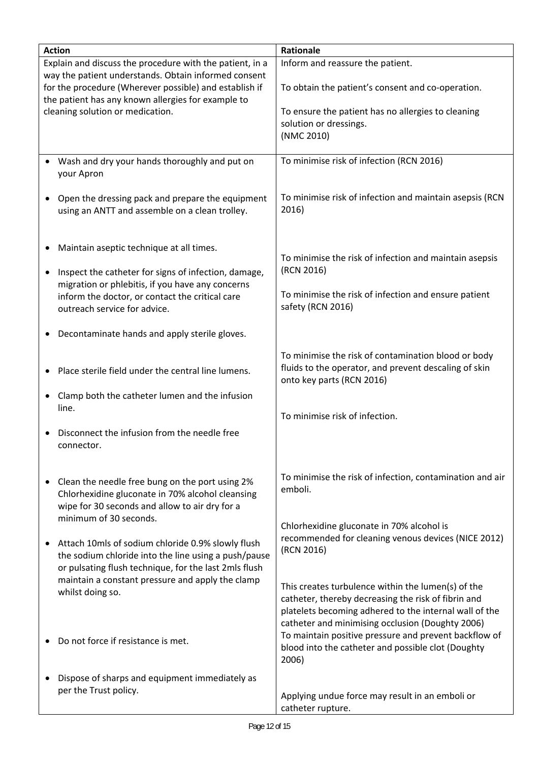| <b>Action</b>                                            |                                                        | Rationale                                                |  |
|----------------------------------------------------------|--------------------------------------------------------|----------------------------------------------------------|--|
|                                                          |                                                        |                                                          |  |
| Explain and discuss the procedure with the patient, in a |                                                        | Inform and reassure the patient.                         |  |
|                                                          | way the patient understands. Obtain informed consent   |                                                          |  |
|                                                          | for the procedure (Wherever possible) and establish if | To obtain the patient's consent and co-operation.        |  |
|                                                          | the patient has any known allergies for example to     |                                                          |  |
| cleaning solution or medication.                         |                                                        | To ensure the patient has no allergies to cleaning       |  |
|                                                          |                                                        | solution or dressings.                                   |  |
|                                                          |                                                        | (NMC 2010)                                               |  |
|                                                          |                                                        |                                                          |  |
|                                                          | Wash and dry your hands thoroughly and put on          | To minimise risk of infection (RCN 2016)                 |  |
|                                                          |                                                        |                                                          |  |
|                                                          | your Apron                                             |                                                          |  |
|                                                          |                                                        |                                                          |  |
|                                                          | Open the dressing pack and prepare the equipment       | To minimise risk of infection and maintain asepsis (RCN  |  |
|                                                          | using an ANTT and assemble on a clean trolley.         | 2016)                                                    |  |
|                                                          |                                                        |                                                          |  |
|                                                          |                                                        |                                                          |  |
| ٠                                                        | Maintain aseptic technique at all times.               |                                                          |  |
|                                                          |                                                        | To minimise the risk of infection and maintain asepsis   |  |
| $\bullet$                                                | Inspect the catheter for signs of infection, damage,   | (RCN 2016)                                               |  |
|                                                          | migration or phlebitis, if you have any concerns       |                                                          |  |
|                                                          |                                                        | To minimise the risk of infection and ensure patient     |  |
|                                                          | inform the doctor, or contact the critical care        |                                                          |  |
|                                                          | outreach service for advice.                           | safety (RCN 2016)                                        |  |
|                                                          |                                                        |                                                          |  |
|                                                          | Decontaminate hands and apply sterile gloves.          |                                                          |  |
|                                                          |                                                        |                                                          |  |
|                                                          |                                                        | To minimise the risk of contamination blood or body      |  |
| ٠                                                        | Place sterile field under the central line lumens.     | fluids to the operator, and prevent descaling of skin    |  |
|                                                          |                                                        | onto key parts (RCN 2016)                                |  |
|                                                          | Clamp both the catheter lumen and the infusion         |                                                          |  |
|                                                          | line.                                                  |                                                          |  |
|                                                          |                                                        | To minimise risk of infection.                           |  |
|                                                          | Disconnect the infusion from the needle free           |                                                          |  |
|                                                          |                                                        |                                                          |  |
|                                                          | connector.                                             |                                                          |  |
|                                                          |                                                        |                                                          |  |
|                                                          |                                                        | To minimise the risk of infection, contamination and air |  |
|                                                          | Clean the needle free bung on the port using 2%        | emboli.                                                  |  |
|                                                          | Chlorhexidine gluconate in 70% alcohol cleansing       |                                                          |  |
|                                                          | wipe for 30 seconds and allow to air dry for a         |                                                          |  |
|                                                          | minimum of 30 seconds.                                 |                                                          |  |
|                                                          |                                                        | Chlorhexidine gluconate in 70% alcohol is                |  |
|                                                          | Attach 10mls of sodium chloride 0.9% slowly flush      | recommended for cleaning venous devices (NICE 2012)      |  |
|                                                          | the sodium chloride into the line using a push/pause   | (RCN 2016)                                               |  |
|                                                          | or pulsating flush technique, for the last 2mls flush  |                                                          |  |
|                                                          | maintain a constant pressure and apply the clamp       |                                                          |  |
|                                                          |                                                        | This creates turbulence within the lumen(s) of the       |  |
|                                                          | whilst doing so.                                       | catheter, thereby decreasing the risk of fibrin and      |  |
|                                                          |                                                        | platelets becoming adhered to the internal wall of the   |  |
|                                                          |                                                        | catheter and minimising occlusion (Doughty 2006)         |  |
|                                                          |                                                        | To maintain positive pressure and prevent backflow of    |  |
|                                                          | Do not force if resistance is met.                     |                                                          |  |
|                                                          |                                                        | blood into the catheter and possible clot (Doughty       |  |
|                                                          |                                                        | 2006)                                                    |  |
| ٠                                                        | Dispose of sharps and equipment immediately as         |                                                          |  |
|                                                          | per the Trust policy.                                  |                                                          |  |
|                                                          |                                                        | Applying undue force may result in an emboli or          |  |
|                                                          |                                                        | catheter rupture.                                        |  |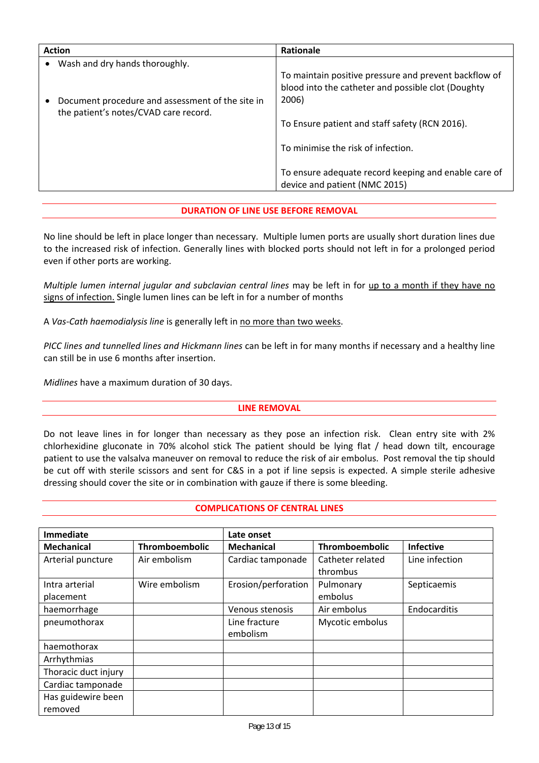| <b>Action</b>                                                                                                                            | Rationale                                                                                                                                                                                                                                                                                             |
|------------------------------------------------------------------------------------------------------------------------------------------|-------------------------------------------------------------------------------------------------------------------------------------------------------------------------------------------------------------------------------------------------------------------------------------------------------|
| Wash and dry hands thoroughly.<br>Document procedure and assessment of the site in<br>$\bullet$<br>the patient's notes/CVAD care record. | To maintain positive pressure and prevent backflow of<br>blood into the catheter and possible clot (Doughty<br>2006)<br>To Ensure patient and staff safety (RCN 2016).<br>To minimise the risk of infection.<br>To ensure adequate record keeping and enable care of<br>device and patient (NMC 2015) |
|                                                                                                                                          |                                                                                                                                                                                                                                                                                                       |

## **DURATION OF LINE USE BEFORE REMOVAL**

No line should be left in place longer than necessary. Multiple lumen ports are usually short duration lines due to the increased risk of infection. Generally lines with blocked ports should not left in for a prolonged period even if other ports are working.

*Multiple lumen internal jugular and subclavian central lines* may be left in for up to a month if they have no signs of infection. Single lumen lines can be left in for a number of months

A *Vas‐Cath haemodialysis line* is generally left in no more than two weeks.

*PICC lines and tunnelled lines and Hickmann lines* can be left in for many months if necessary and a healthy line can still be in use 6 months after insertion.

*Midlines* have a maximum duration of 30 days.

#### **LINE REMOVAL**

Do not leave lines in for longer than necessary as they pose an infection risk. Clean entry site with 2% chlorhexidine gluconate in 70% alcohol stick The patient should be lying flat / head down tilt, encourage patient to use the valsalva maneuver on removal to reduce the risk of air embolus. Post removal the tip should be cut off with sterile scissors and sent for C&S in a pot if line sepsis is expected. A simple sterile adhesive dressing should cover the site or in combination with gauze if there is some bleeding.

#### **COMPLICATIONS OF CENTRAL LINES**

| <b>Immediate</b>     |                       | Late onset                |                              |                  |  |
|----------------------|-----------------------|---------------------------|------------------------------|------------------|--|
| <b>Mechanical</b>    | <b>Thromboembolic</b> | Mechanical                | Thromboembolic               | <b>Infective</b> |  |
| Arterial puncture    | Air embolism          | Cardiac tamponade         | Catheter related<br>thrombus | Line infection   |  |
| Intra arterial       | Wire embolism         | Erosion/perforation       | Pulmonary                    | Septicaemis      |  |
| placement            |                       |                           | embolus                      |                  |  |
| haemorrhage          |                       | Venous stenosis           | Air embolus                  | Endocarditis     |  |
| pneumothorax         |                       | Line fracture<br>embolism | Mycotic embolus              |                  |  |
|                      |                       |                           |                              |                  |  |
| haemothorax          |                       |                           |                              |                  |  |
| Arrhythmias          |                       |                           |                              |                  |  |
| Thoracic duct injury |                       |                           |                              |                  |  |
| Cardiac tamponade    |                       |                           |                              |                  |  |
| Has guidewire been   |                       |                           |                              |                  |  |
| removed              |                       |                           |                              |                  |  |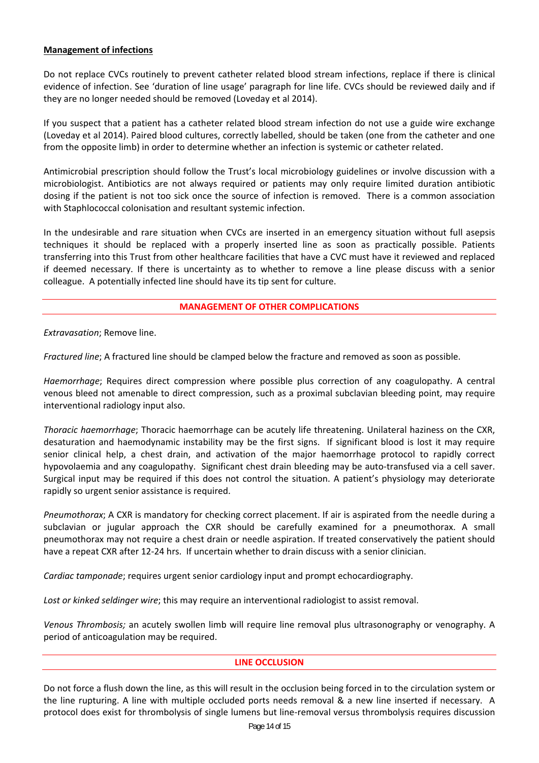### **Management of infections**

Do not replace CVCs routinely to prevent catheter related blood stream infections, replace if there is clinical evidence of infection. See 'duration of line usage' paragraph for line life. CVCs should be reviewed daily and if they are no longer needed should be removed (Loveday et al 2014).

If you suspect that a patient has a catheter related blood stream infection do not use a guide wire exchange (Loveday et al 2014). Paired blood cultures, correctly labelled, should be taken (one from the catheter and one from the opposite limb) in order to determine whether an infection is systemic or catheter related.

Antimicrobial prescription should follow the Trust's local microbiology guidelines or involve discussion with a microbiologist. Antibiotics are not always required or patients may only require limited duration antibiotic dosing if the patient is not too sick once the source of infection is removed. There is a common association with Staphlococcal colonisation and resultant systemic infection.

In the undesirable and rare situation when CVCs are inserted in an emergency situation without full asepsis techniques it should be replaced with a properly inserted line as soon as practically possible. Patients transferring into this Trust from other healthcare facilities that have a CVC must have it reviewed and replaced if deemed necessary. If there is uncertainty as to whether to remove a line please discuss with a senior colleague. A potentially infected line should have its tip sent for culture.

#### **MANAGEMENT OF OTHER COMPLICATIONS**

*Extravasation*; Remove line.

*Fractured line*; A fractured line should be clamped below the fracture and removed as soon as possible.

*Haemorrhage*; Requires direct compression where possible plus correction of any coagulopathy. A central venous bleed not amenable to direct compression, such as a proximal subclavian bleeding point, may require interventional radiology input also.

*Thoracic haemorrhage*; Thoracic haemorrhage can be acutely life threatening. Unilateral haziness on the CXR, desaturation and haemodynamic instability may be the first signs. If significant blood is lost it may require senior clinical help, a chest drain, and activation of the major haemorrhage protocol to rapidly correct hypovolaemia and any coagulopathy. Significant chest drain bleeding may be auto-transfused via a cell saver. Surgical input may be required if this does not control the situation. A patient's physiology may deteriorate rapidly so urgent senior assistance is required.

*Pneumothorax*; A CXR is mandatory for checking correct placement. If air is aspirated from the needle during a subclavian or jugular approach the CXR should be carefully examined for a pneumothorax. A small pneumothorax may not require a chest drain or needle aspiration. If treated conservatively the patient should have a repeat CXR after 12-24 hrs. If uncertain whether to drain discuss with a senior clinician.

*Cardiac tamponade*; requires urgent senior cardiology input and prompt echocardiography.

*Lost or kinked seldinger wire*; this may require an interventional radiologist to assist removal.

*Venous Thrombosis;* an acutely swollen limb will require line removal plus ultrasonography or venography. A period of anticoagulation may be required.

#### **LINE OCCLUSION**

Do not force a flush down the line, as this will result in the occlusion being forced in to the circulation system or the line rupturing. A line with multiple occluded ports needs removal & a new line inserted if necessary. A protocol does exist for thrombolysis of single lumens but line‐removal versus thrombolysis requires discussion